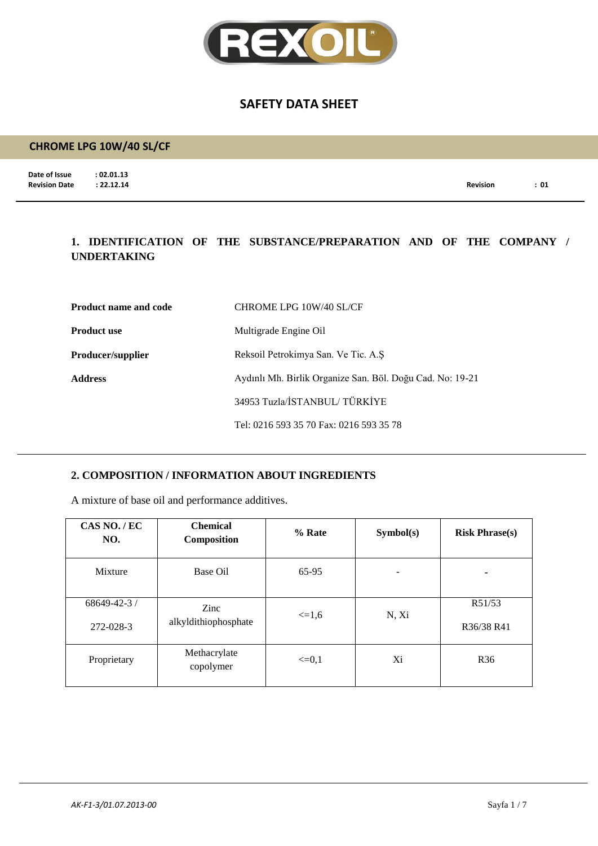

## **CHROME LPG 10W/40 SL/CF**

**Date of Issue : 02.01.13**<br>**Revision Date : 22.12.14** 

**Revision Date : 22.12.14 Revision : 01**

## **1. IDENTIFICATION OF THE SUBSTANCE/PREPARATION AND OF THE COMPANY / UNDERTAKING**

| <b>Product name and code</b> | CHROME LPG 10W/40 SL/CF                                   |
|------------------------------|-----------------------------------------------------------|
| <b>Product use</b>           | Multigrade Engine Oil                                     |
| <b>Producer/supplier</b>     | Reksoil Petrokimya San. Ve Tic. A.S.                      |
| <b>Address</b>               | Aydınlı Mh. Birlik Organize San. Böl. Doğu Cad. No: 19-21 |
|                              | 34953 Tuzla/İSTANBUL/TÜRKİYE                              |
|                              | Tel: 0216 593 35 70 Fax: 0216 593 35 78                   |

#### **2. COMPOSITION / INFORMATION ABOUT INGREDIENTS**

A mixture of base oil and performance additives.

| CAS NO./EC<br>NO.               | <b>Chemical</b><br>Composition | % Rate     | Symbol(s) | <b>Risk Phrase(s)</b> |
|---------------------------------|--------------------------------|------------|-----------|-----------------------|
| Mixture                         | Base Oil                       | 65-95      | ۰         | ۰                     |
| $68649 - 42 - 3$ /<br>272-028-3 | Zinc<br>alkyldithiophosphate   | $\leq 1.6$ | N, Xi     | R51/53<br>R36/38 R41  |
| Proprietary                     | Methacrylate<br>copolymer      | $\leq=0,1$ | Xi        | R <sub>36</sub>       |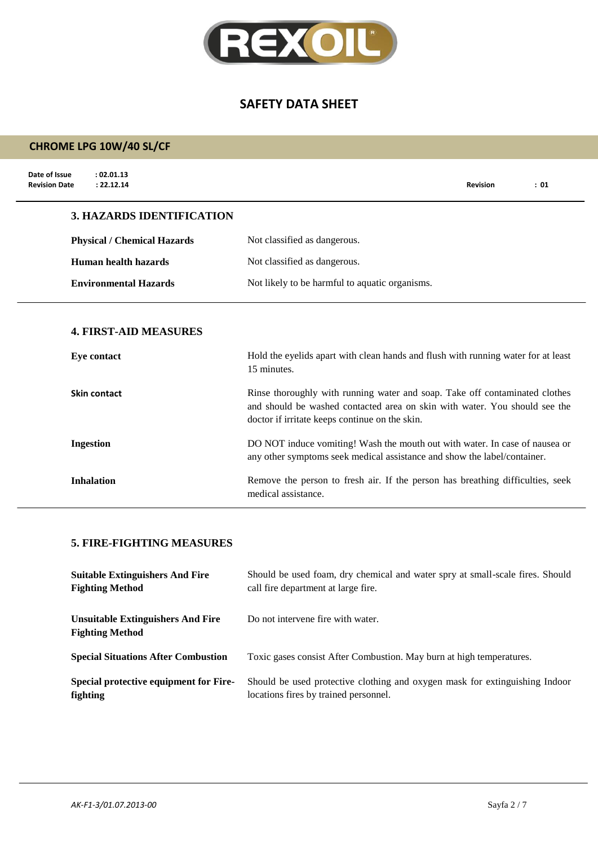

# **CHROME LPG 10W/40 SL/CF**

| Date of Issue<br>: 02.01.13<br>: 22.12.14<br><b>Revision Date</b> |                                                                                                                                                                                                             | <b>Revision</b> | : 01 |
|-------------------------------------------------------------------|-------------------------------------------------------------------------------------------------------------------------------------------------------------------------------------------------------------|-----------------|------|
| <b>3. HAZARDS IDENTIFICATION</b>                                  |                                                                                                                                                                                                             |                 |      |
| <b>Physical / Chemical Hazards</b>                                | Not classified as dangerous.                                                                                                                                                                                |                 |      |
| Human health hazards                                              | Not classified as dangerous.                                                                                                                                                                                |                 |      |
| <b>Environmental Hazards</b>                                      | Not likely to be harmful to aquatic organisms.                                                                                                                                                              |                 |      |
| <b>4. FIRST-AID MEASURES</b>                                      |                                                                                                                                                                                                             |                 |      |
| <b>Eye contact</b>                                                | Hold the eyelids apart with clean hands and flush with running water for at least<br>15 minutes.                                                                                                            |                 |      |
| Skin contact                                                      | Rinse thoroughly with running water and soap. Take off contaminated clothes<br>and should be washed contacted area on skin with water. You should see the<br>doctor if irritate keeps continue on the skin. |                 |      |
| <b>Ingestion</b>                                                  | DO NOT induce vomiting! Wash the mouth out with water. In case of nausea or<br>any other symptoms seek medical assistance and show the label/container.                                                     |                 |      |
| <b>Inhalation</b>                                                 | Remove the person to fresh air. If the person has breathing difficulties, seek<br>medical assistance.                                                                                                       |                 |      |

#### **5. FIRE-FIGHTING MEASURES**

| <b>Suitable Extinguishers And Fire</b>                             | Should be used foam, dry chemical and water spry at small-scale fires. Should |
|--------------------------------------------------------------------|-------------------------------------------------------------------------------|
| <b>Fighting Method</b>                                             | call fire department at large fire.                                           |
| <b>Unsuitable Extinguishers And Fire</b><br><b>Fighting Method</b> | Do not intervene fire with water.                                             |
| <b>Special Situations After Combustion</b>                         | Toxic gases consist After Combustion. May burn at high temperatures.          |
| Special protective equipment for Fire-                             | Should be used protective clothing and oxygen mask for extinguishing Indoor   |
| fighting                                                           | locations fires by trained personnel.                                         |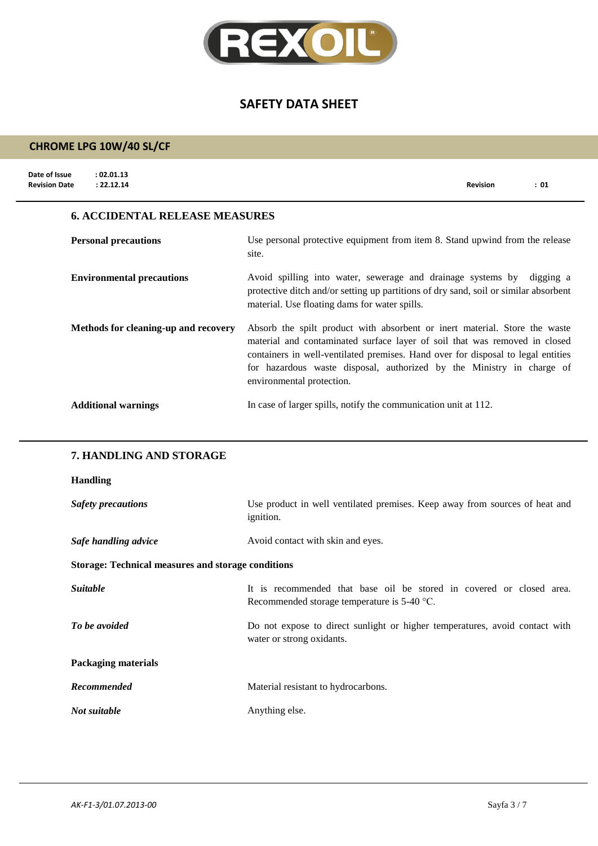

# **CHROME LPG 10W/40 SL/CF**

 $\overline{a}$ 

| Date of Issue<br>: 02.01.13<br><b>Revision Date</b><br>: 22.12.14 | <b>Revision</b><br>: 01                                                                                                                                                                                                                                                                                                                            |
|-------------------------------------------------------------------|----------------------------------------------------------------------------------------------------------------------------------------------------------------------------------------------------------------------------------------------------------------------------------------------------------------------------------------------------|
| <b>6. ACCIDENTAL RELEASE MEASURES</b>                             |                                                                                                                                                                                                                                                                                                                                                    |
| <b>Personal precautions</b>                                       | Use personal protective equipment from item 8. Stand upwind from the release<br>site.                                                                                                                                                                                                                                                              |
| <b>Environmental precautions</b>                                  | Avoid spilling into water, sewerage and drainage systems by digging a<br>protective ditch and/or setting up partitions of dry sand, soil or similar absorbent<br>material. Use floating dams for water spills.                                                                                                                                     |
| Methods for cleaning-up and recovery                              | Absorb the spilt product with absorbent or inert material. Store the waste<br>material and contaminated surface layer of soil that was removed in closed<br>containers in well-ventilated premises. Hand over for disposal to legal entities<br>for hazardous waste disposal, authorized by the Ministry in charge of<br>environmental protection. |
| <b>Additional warnings</b>                                        | In case of larger spills, notify the communication unit at 112.                                                                                                                                                                                                                                                                                    |
| 7. HANDLING AND STORAGE                                           |                                                                                                                                                                                                                                                                                                                                                    |

#### **Handling**

| <b>Safety precautions</b>                                 | Use product in well ventilated premises. Keep away from sources of heat and<br><i>ignition.</i>                       |  |  |  |
|-----------------------------------------------------------|-----------------------------------------------------------------------------------------------------------------------|--|--|--|
| Safe handling advice                                      | Avoid contact with skin and eyes.                                                                                     |  |  |  |
| <b>Storage: Technical measures and storage conditions</b> |                                                                                                                       |  |  |  |
| <i>Suitable</i>                                           | It is recommended that base oil be stored in covered or closed area.<br>Recommended storage temperature is $5-40$ °C. |  |  |  |
| To be avoided                                             | Do not expose to direct sunlight or higher temperatures, avoid contact with<br>water or strong oxidants.              |  |  |  |
| <b>Packaging materials</b>                                |                                                                                                                       |  |  |  |
| Recommended                                               | Material resistant to hydrocarbons.                                                                                   |  |  |  |
| Not suitable                                              | Anything else.                                                                                                        |  |  |  |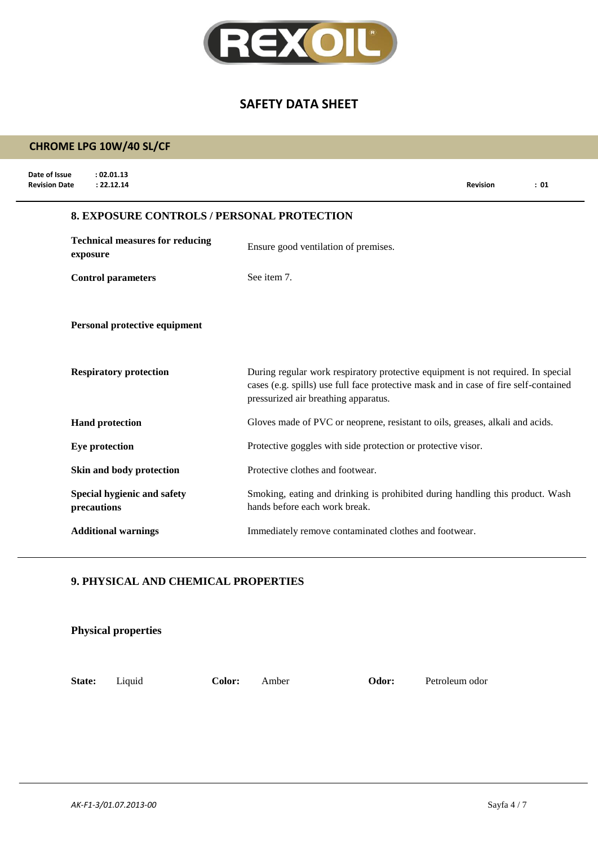

# **CHROME LPG 10W/40 SL/CF**

| Date of Issue<br>: 02.01.13<br><b>Revision Date</b><br>: 22.12.14 |                                                   | <b>Revision</b>                                                                                                                                                          | : 01 |
|-------------------------------------------------------------------|---------------------------------------------------|--------------------------------------------------------------------------------------------------------------------------------------------------------------------------|------|
|                                                                   | <b>8. EXPOSURE CONTROLS / PERSONAL PROTECTION</b> |                                                                                                                                                                          |      |
| <b>Technical measures for reducing</b><br>exposure                | Ensure good ventilation of premises.              |                                                                                                                                                                          |      |
| <b>Control parameters</b>                                         | See item 7.                                       |                                                                                                                                                                          |      |
| Personal protective equipment                                     |                                                   |                                                                                                                                                                          |      |
| <b>Respiratory protection</b>                                     | pressurized air breathing apparatus.              | During regular work respiratory protective equipment is not required. In special<br>cases (e.g. spills) use full face protective mask and in case of fire self-contained |      |
| <b>Hand protection</b>                                            |                                                   | Gloves made of PVC or neoprene, resistant to oils, greases, alkali and acids.                                                                                            |      |
| Eye protection                                                    |                                                   | Protective goggles with side protection or protective visor.                                                                                                             |      |
| Skin and body protection                                          | Protective clothes and footwear.                  |                                                                                                                                                                          |      |
| Special hygienic and safety<br>precautions                        | hands before each work break.                     | Smoking, eating and drinking is prohibited during handling this product. Wash                                                                                            |      |
| <b>Additional warnings</b>                                        |                                                   | Immediately remove contaminated clothes and footwear.                                                                                                                    |      |

#### **9. PHYSICAL AND CHEMICAL PROPERTIES**

|        | <b>Physical properties</b> |        |       |       |                |
|--------|----------------------------|--------|-------|-------|----------------|
| State: | Liquid                     | Color: | Amber | Odor: | Petroleum odor |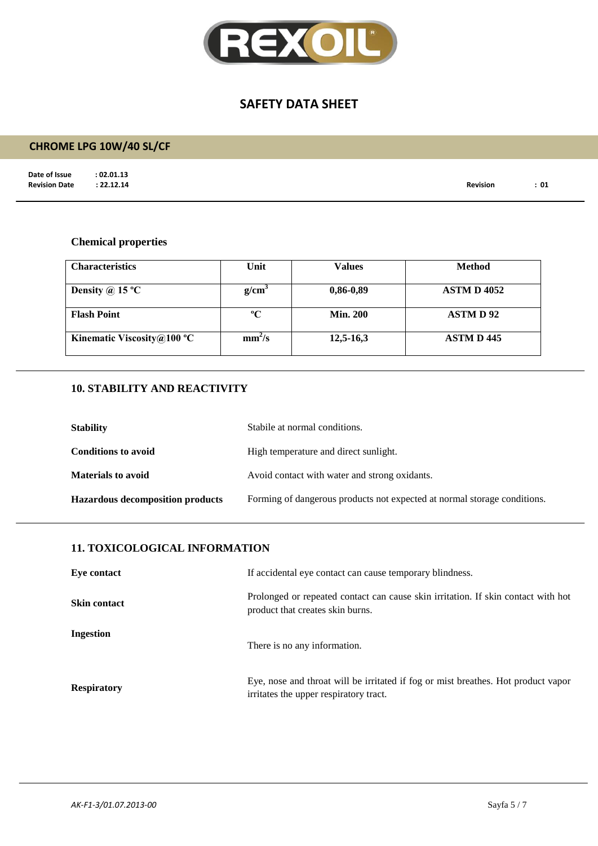

# **CHROME LPG 10W/40 SL/CF**

**Date of Issue : 02.01.13<br>Revision Date : 22.12.14** 

**Revision Date : 22.12.14 Revision : 01**

#### **Chemical properties**

| <b>Characteristics</b>     | Unit               | <b>Values</b>   | <b>Method</b>      |
|----------------------------|--------------------|-----------------|--------------------|
| Density @ 15 $^{\circ}$ C  | g/cm <sup>3</sup>  | $0,86-0,89$     | <b>ASTM D 4052</b> |
| <b>Flash Point</b>         | $\rm ^{o}C$        | <b>Min. 200</b> | <b>ASTMD92</b>     |
| Kinematic Viscosity@100 °C | mm <sup>2</sup> /s | $12,5-16,3$     | <b>ASTM D 445</b>  |

## **10. STABILITY AND REACTIVITY**

| <b>Stability</b>                        | Stabile at normal conditions.                                            |
|-----------------------------------------|--------------------------------------------------------------------------|
| <b>Conditions to avoid</b>              | High temperature and direct sunlight.                                    |
| <b>Materials to avoid</b>               | Avoid contact with water and strong oxidants.                            |
| <b>Hazardous decomposition products</b> | Forming of dangerous products not expected at normal storage conditions. |

#### **11. TOXICOLOGICAL INFORMATION**

| Eye contact         | If accidental eye contact can cause temporary blindness.                                                                    |
|---------------------|-----------------------------------------------------------------------------------------------------------------------------|
| <b>Skin contact</b> | Prolonged or repeated contact can cause skin irritation. If skin contact with hot<br>product that creates skin burns.       |
| Ingestion           | There is no any information.                                                                                                |
| <b>Respiratory</b>  | Eye, nose and throat will be irritated if fog or mist breathes. Hot product vapor<br>irritates the upper respiratory tract. |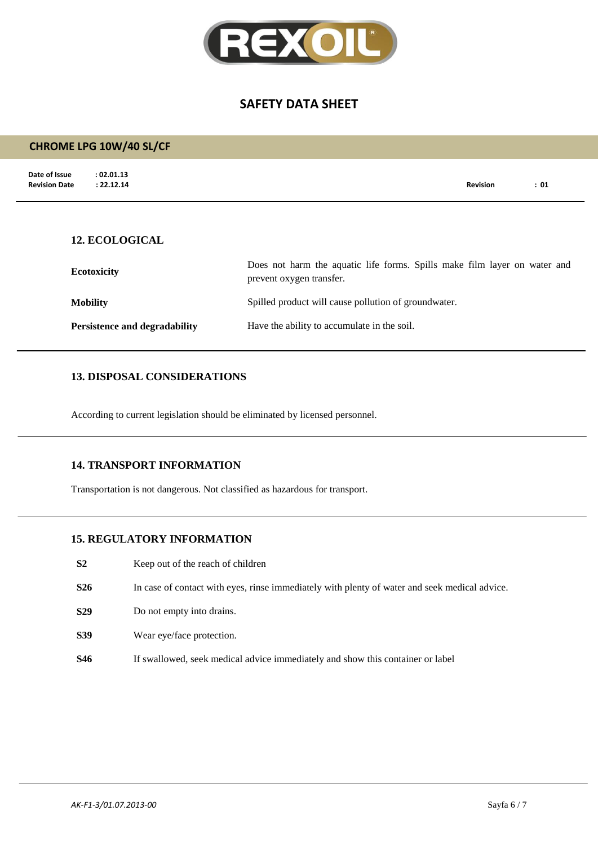

# **Date of Issue : 02.01.13**<br>**Revision Date : 22.12.14 Revision Date : 22.12.14 Revision : 01 CHROME LPG 10W/40 SL/CF 12. ECOLOGICAL Ecotoxicity** Does not harm the aquatic life forms. Spills make film layer on water and prevent oxygen transfer. **Mobility** Spilled product will cause pollution of groundwater.

**Persistence and degradability** Have the ability to accumulate in the soil.

#### **13. DISPOSAL CONSIDERATIONS**

According to current legislation should be eliminated by licensed personnel.

#### **14. TRANSPORT INFORMATION**

Transportation is not dangerous. Not classified as hazardous for transport.

#### **15. REGULATORY INFORMATION**

- **S2** Keep out of the reach of children
- **S26** In case of contact with eyes, rinse immediately with plenty of water and seek medical advice.
- **S29** Do not empty into drains.
- **S39** Wear eye/face protection.
- **S46** If swallowed, seek medical advice immediately and show this container or label